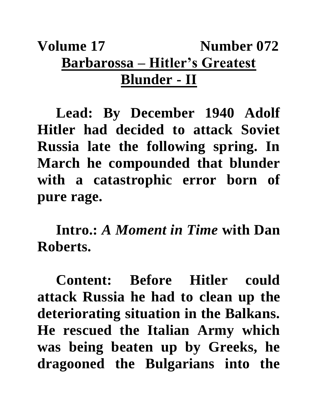## **Volume 17** Number 072 **Barbarossa – Hitler's Greatest Blunder - II**

**Lead: By December 1940 Adolf Hitler had decided to attack Soviet Russia late the following spring. In March he compounded that blunder with a catastrophic error born of pure rage.** 

**Intro.:** *A Moment in Time* **with Dan Roberts.**

**Content: Before Hitler could attack Russia he had to clean up the deteriorating situation in the Balkans. He rescued the Italian Army which was being beaten up by Greeks, he dragooned the Bulgarians into the**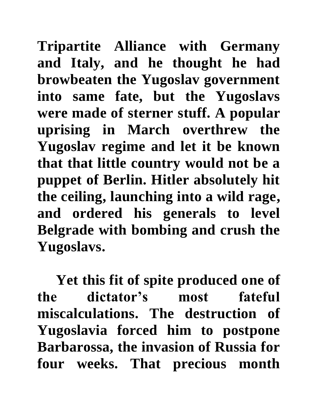**Tripartite Alliance with Germany and Italy, and he thought he had browbeaten the Yugoslav government into same fate, but the Yugoslavs were made of sterner stuff. A popular uprising in March overthrew the Yugoslav regime and let it be known that that little country would not be a puppet of Berlin. Hitler absolutely hit the ceiling, launching into a wild rage, and ordered his generals to level Belgrade with bombing and crush the Yugoslavs.**

**Yet this fit of spite produced one of the dictator's most fateful miscalculations. The destruction of Yugoslavia forced him to postpone Barbarossa, the invasion of Russia for four weeks. That precious month**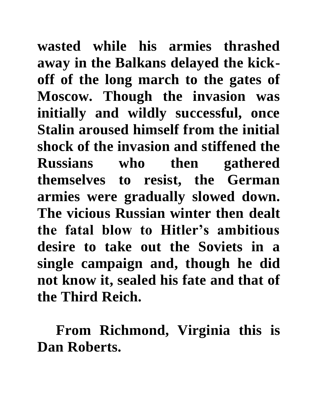**wasted while his armies thrashed away in the Balkans delayed the kickoff of the long march to the gates of Moscow. Though the invasion was initially and wildly successful, once Stalin aroused himself from the initial shock of the invasion and stiffened the Russians who then gathered themselves to resist, the German armies were gradually slowed down. The vicious Russian winter then dealt the fatal blow to Hitler's ambitious desire to take out the Soviets in a single campaign and, though he did not know it, sealed his fate and that of the Third Reich.**

**From Richmond, Virginia this is Dan Roberts.**